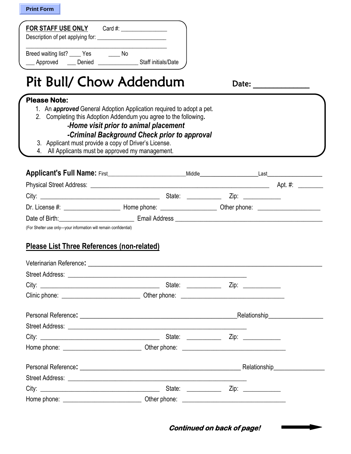|  | <b>Print Form</b> |
|--|-------------------|
|--|-------------------|

| FOR STAFF USE ONLY                                 | Card #: $\qquad \qquad$   |  |
|----------------------------------------------------|---------------------------|--|
| Breed waiting list?<br>- Yes<br>Denied<br>Approved | No<br>Staff initials/Date |  |

## Pit Bull/ Chow Addendum Date:

**Please Note:** 

- 1. An *approved* General Adoption Application required to adopt a pet.
- 2. Completing this Adoption Addendum you agree to the following*.*

## *-Home visit prior to animal placement*

## *-Criminal Background Check prior to approval*

- 3. Applicant must provide a copy of Driver's License.
- 4. All Applicants must be approved my management.

|                |                                     | Middle |                 | Last                           |
|----------------|-------------------------------------|--------|-----------------|--------------------------------|
|                |                                     |        |                 | Apt. $#$ :                     |
|                |                                     | State: | $\mathsf{Zip:}$ |                                |
| Dr. License #: | Home phone: <u>________________</u> |        |                 | Other phone: <u>containing</u> |
| Date of Birth: | Email Address                       |        |                 |                                |

(For Shelter use only—your information will remain confidential)

## **Please List Three References (non-related)**

|                                          | Relationship___________________ |
|------------------------------------------|---------------------------------|
|                                          |                                 |
|                                          |                                 |
|                                          |                                 |
| Personal Reference: <u>December 2008</u> | Relationship_____________       |
|                                          |                                 |
| State: ____________                      |                                 |
|                                          |                                 |

**Continued on back of page!**